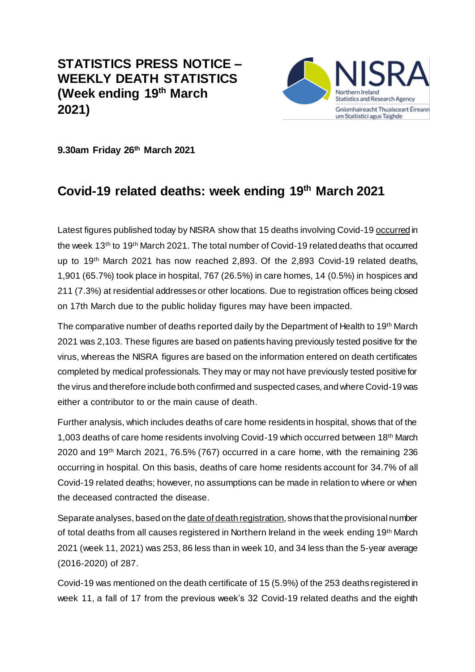## **STATISTICS PRESS NOTICE – WEEKLY DEATH STATISTICS (Week ending 19th March 2021)**



**9.30am Friday 26th March 2021**

# **Covid-19 related deaths: week ending 19th March 2021**

Latest figures published today by NISRA show that 15 deaths involving Covid-19 occurred in the week 13th to 19th March 2021. The total number of Covid-19 related deaths that occurred up to 19th March 2021 has now reached 2,893. Of the 2,893 Covid-19 related deaths, 1,901 (65.7%) took place in hospital, 767 (26.5%) in care homes, 14 (0.5%) in hospices and 211 (7.3%) at residential addresses or other locations. Due to registration offices being closed on 17th March due to the public holiday figures may have been impacted.

The comparative number of deaths reported daily by the Department of Health to 19th March 2021 was 2,103. These figures are based on patients having previously tested positive for the virus, whereas the NISRA figures are based on the information entered on death certificates completed by medical professionals. They may or may not have previously tested positive for the virus and therefore include both confirmed and suspected cases, and where Covid-19 was either a contributor to or the main cause of death.

Further analysis, which includes deaths of care home residents in hospital, shows that of the 1,003 deaths of care home residents involving Covid-19 which occurred between 18<sup>th</sup> March 2020 and 19th March 2021, 76.5% (767) occurred in a care home, with the remaining 236 occurring in hospital. On this basis, deaths of care home residents account for 34.7% of all Covid-19 related deaths; however, no assumptions can be made in relation to where or when the deceased contracted the disease.

Separate analyses, based on the date of death registration, shows that the provisional number of total deaths from all causes registered in Northern Ireland in the week ending 19th March 2021 (week 11, 2021) was 253, 86 less than in week 10, and 34 less than the 5-year average (2016-2020) of 287.

Covid-19 was mentioned on the death certificate of 15 (5.9%) of the 253 deaths registered in week 11, a fall of 17 from the previous week's 32 Covid-19 related deaths and the eighth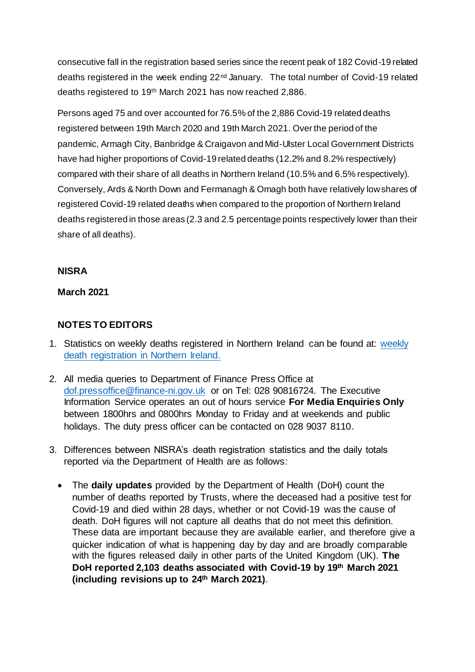consecutive fall in the registration based series since the recent peak of 182 Covid-19 related deaths registered in the week ending 22nd January. The total number of Covid-19 related deaths registered to 19th March 2021 has now reached 2,886.

Persons aged 75 and over accounted for 76.5% of the 2,886 Covid-19 related deaths registered between 19th March 2020 and 19th March 2021. Over the period of the pandemic, Armagh City, Banbridge & Craigavon and Mid-Ulster Local Government Districts have had higher proportions of Covid-19 related deaths (12.2% and 8.2% respectively) compared with their share of all deaths in Northern Ireland (10.5% and 6.5% respectively). Conversely, Ards & North Down and Fermanagh & Omagh both have relatively low shares of registered Covid-19 related deaths when compared to the proportion of Northern Ireland deaths registered in those areas (2.3 and 2.5 percentage points respectively lower than their share of all deaths).

#### **NISRA**

#### **March 2021**

### **NOTES TO EDITORS**

- 1. Statistics on weekly deaths registered in Northern Ireland can be found at: [weekly](https://www.nisra.gov.uk/statistics/death-statistics/weekly-death-registrations-northern-ireland)  [death registration in Northern Ireland.](https://www.nisra.gov.uk/statistics/death-statistics/weekly-death-registrations-northern-ireland)
- 2. All media queries to Department of Finance Press Office at [dof.pressoffice@finance-ni.gov.uk](mailto:dof.pressoffice@finance-ni.gov.uk) or on Tel: 028 90816724. The Executive Information Service operates an out of hours service **For Media Enquiries Only** between 1800hrs and 0800hrs Monday to Friday and at weekends and public holidays. The duty press officer can be contacted on 028 9037 8110.
- 3. Differences between NISRA's death registration statistics and the daily totals reported via the Department of Health are as follows:
	- The **daily updates** provided by the Department of Health (DoH) count the number of deaths reported by Trusts, where the deceased had a positive test for Covid-19 and died within 28 days, whether or not Covid-19 was the cause of death. DoH figures will not capture all deaths that do not meet this definition. These data are important because they are available earlier, and therefore give a quicker indication of what is happening day by day and are broadly comparable with the figures released daily in other parts of the United Kingdom (UK). **The DoH reported 2,103 deaths associated with Covid-19 by 19th March 2021 (including revisions up to 24th March 2021)**.